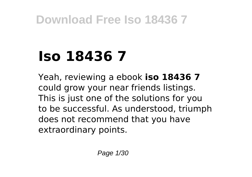# **Iso 18436 7**

Yeah, reviewing a ebook **iso 18436 7** could grow your near friends listings. This is just one of the solutions for you to be successful. As understood, triumph does not recommend that you have extraordinary points.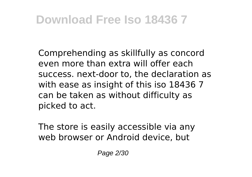Comprehending as skillfully as concord even more than extra will offer each success. next-door to, the declaration as with ease as insight of this iso 18436 7 can be taken as without difficulty as picked to act.

The store is easily accessible via any web browser or Android device, but

Page 2/30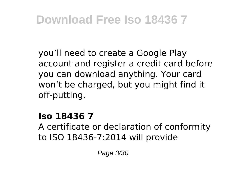you'll need to create a Google Play account and register a credit card before you can download anything. Your card won't be charged, but you might find it off-putting.

#### **Iso 18436 7**

A certificate or declaration of conformity to ISO 18436-7:2014 will provide

Page 3/30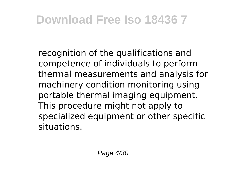recognition of the qualifications and competence of individuals to perform thermal measurements and analysis for machinery condition monitoring using portable thermal imaging equipment. This procedure might not apply to specialized equipment or other specific situations.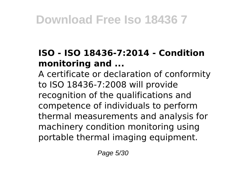#### **ISO - ISO 18436-7:2014 - Condition monitoring and ...**

A certificate or declaration of conformity to ISO 18436-7:2008 will provide recognition of the qualifications and competence of individuals to perform thermal measurements and analysis for machinery condition monitoring using portable thermal imaging equipment.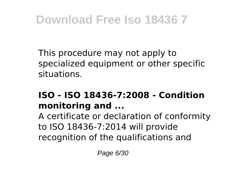This procedure may not apply to specialized equipment or other specific situations.

#### **ISO - ISO 18436-7:2008 - Condition monitoring and ...**

A certificate or declaration of conformity to ISO 18436-7:2014 will provide recognition of the qualifications and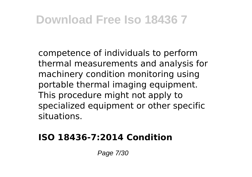competence of individuals to perform thermal measurements and analysis for machinery condition monitoring using portable thermal imaging equipment. This procedure might not apply to specialized equipment or other specific situations.

#### **ISO 18436-7:2014 Condition**

Page 7/30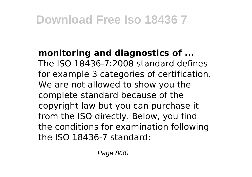**monitoring and diagnostics of ...** The ISO 18436-7:2008 standard defines for example 3 categories of certification. We are not allowed to show you the complete standard because of the copyright law but you can purchase it from the ISO directly. Below, you find the conditions for examination following the ISO 18436-7 standard: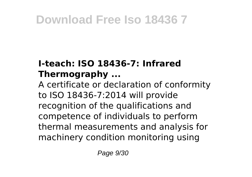#### **I-teach: ISO 18436-7: Infrared Thermography ...**

A certificate or declaration of conformity to ISO 18436-7:2014 will provide recognition of the qualifications and competence of individuals to perform thermal measurements and analysis for machinery condition monitoring using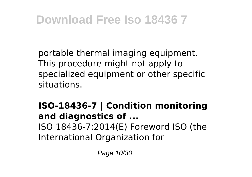portable thermal imaging equipment. This procedure might not apply to specialized equipment or other specific situations.

#### **ISO-18436-7 | Condition monitoring and diagnostics of ...** ISO 18436-7:2014(E) Foreword ISO (the International Organization for

Page 10/30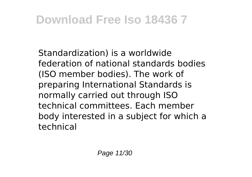Standardization) is a worldwide federation of national standards bodies (ISO member bodies). The work of preparing International Standards is normally carried out through ISO technical committees. Each member body interested in a subject for which a technical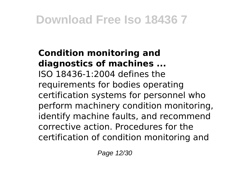#### **Condition monitoring and diagnostics of machines ...** ISO 18436-1:2004 defines the requirements for bodies operating certification systems for personnel who perform machinery condition monitoring, identify machine faults, and recommend corrective action. Procedures for the certification of condition monitoring and

Page 12/30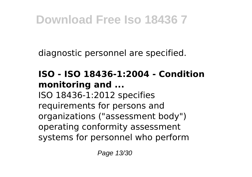diagnostic personnel are specified.

#### **ISO - ISO 18436-1:2004 - Condition monitoring and ...** ISO 18436-1:2012 specifies

requirements for persons and organizations ("assessment body") operating conformity assessment systems for personnel who perform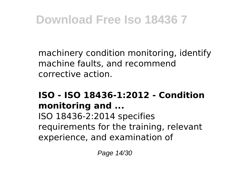machinery condition monitoring, identify machine faults, and recommend corrective action.

#### **ISO - ISO 18436-1:2012 - Condition monitoring and ...**

ISO 18436-2:2014 specifies requirements for the training, relevant experience, and examination of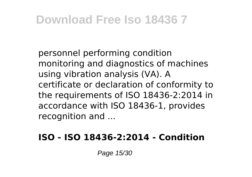personnel performing condition monitoring and diagnostics of machines using vibration analysis (VA). A certificate or declaration of conformity to the requirements of ISO 18436-2:2014 in accordance with ISO 18436-1, provides recognition and ...

#### **ISO - ISO 18436-2:2014 - Condition**

Page 15/30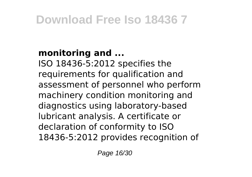#### **monitoring and ...**

ISO 18436-5:2012 specifies the requirements for qualification and assessment of personnel who perform machinery condition monitoring and diagnostics using laboratory-based lubricant analysis. A certificate or declaration of conformity to ISO 18436-5:2012 provides recognition of

Page 16/30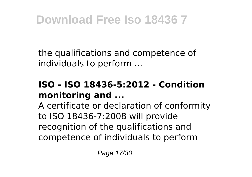the qualifications and competence of individuals to perform ...

#### **ISO - ISO 18436-5:2012 - Condition monitoring and ...**

A certificate or declaration of conformity to ISO 18436-7:2008 will provide recognition of the qualifications and competence of individuals to perform

Page 17/30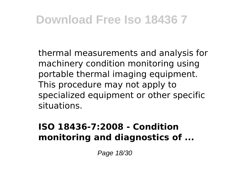thermal measurements and analysis for machinery condition monitoring using portable thermal imaging equipment. This procedure may not apply to specialized equipment or other specific situations.

#### **ISO 18436-7:2008 - Condition monitoring and diagnostics of ...**

Page 18/30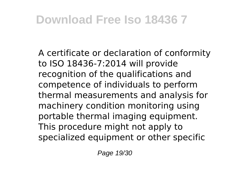A certificate or declaration of conformity to ISO 18436-7:2014 will provide recognition of the qualifications and competence of individuals to perform thermal measurements and analysis for machinery condition monitoring using portable thermal imaging equipment. This procedure might not apply to specialized equipment or other specific

Page 19/30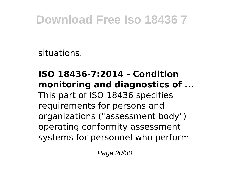situations.

#### **ISO 18436-7:2014 - Condition monitoring and diagnostics of ...** This part of ISO 18436 specifies requirements for persons and organizations ("assessment body") operating conformity assessment systems for personnel who perform

Page 20/30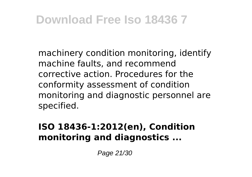machinery condition monitoring, identify machine faults, and recommend corrective action. Procedures for the conformity assessment of condition monitoring and diagnostic personnel are specified.

#### **ISO 18436-1:2012(en), Condition monitoring and diagnostics ...**

Page 21/30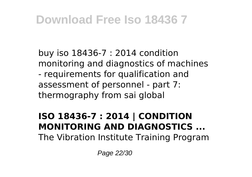buy iso 18436-7 : 2014 condition monitoring and diagnostics of machines - requirements for qualification and assessment of personnel - part 7: thermography from sai global

### **ISO 18436-7 : 2014 | CONDITION MONITORING AND DIAGNOSTICS ...**

The Vibration Institute Training Program

Page 22/30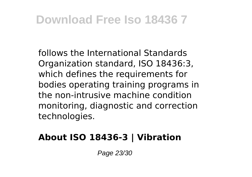follows the International Standards Organization standard, ISO 18436:3, which defines the requirements for bodies operating training programs in the non-intrusive machine condition monitoring, diagnostic and correction technologies.

#### **About ISO 18436-3 | Vibration**

Page 23/30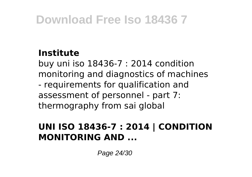#### **Institute**

buy uni iso 18436-7 : 2014 condition monitoring and diagnostics of machines - requirements for qualification and assessment of personnel - part 7: thermography from sai global

#### **UNI ISO 18436-7 : 2014 | CONDITION MONITORING AND ...**

Page 24/30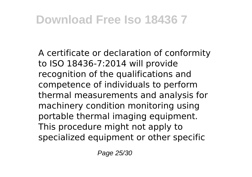A certificate or declaration of conformity to ISO 18436-7:2014 will provide recognition of the qualifications and competence of individuals to perform thermal measurements and analysis for machinery condition monitoring using portable thermal imaging equipment. This procedure might not apply to specialized equipment or other specific

Page 25/30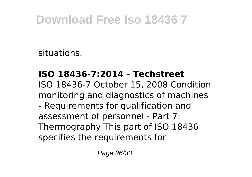situations.

#### **ISO 18436-7:2014 - Techstreet**

ISO 18436-7 October 15, 2008 Condition monitoring and diagnostics of machines - Requirements for qualification and assessment of personnel - Part 7: Thermography This part of ISO 18436 specifies the requirements for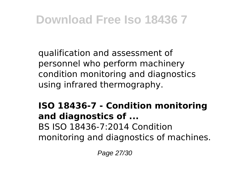qualification and assessment of personnel who perform machinery condition monitoring and diagnostics using infrared thermography.

#### **ISO 18436-7 - Condition monitoring and diagnostics of ...** BS ISO 18436-7:2014 Condition monitoring and diagnostics of machines.

Page 27/30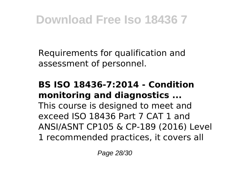Requirements for qualification and assessment of personnel.

#### **BS ISO 18436-7:2014 - Condition monitoring and diagnostics ...**

This course is designed to meet and exceed ISO 18436 Part 7 CAT 1 and ANSI/ASNT CP105 & CP-189 (2016) Level 1 recommended practices, it covers all

Page 28/30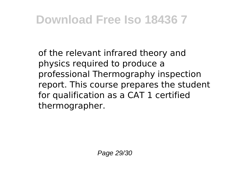of the relevant infrared theory and physics required to produce a professional Thermography inspection report. This course prepares the student for qualification as a CAT 1 certified thermographer.